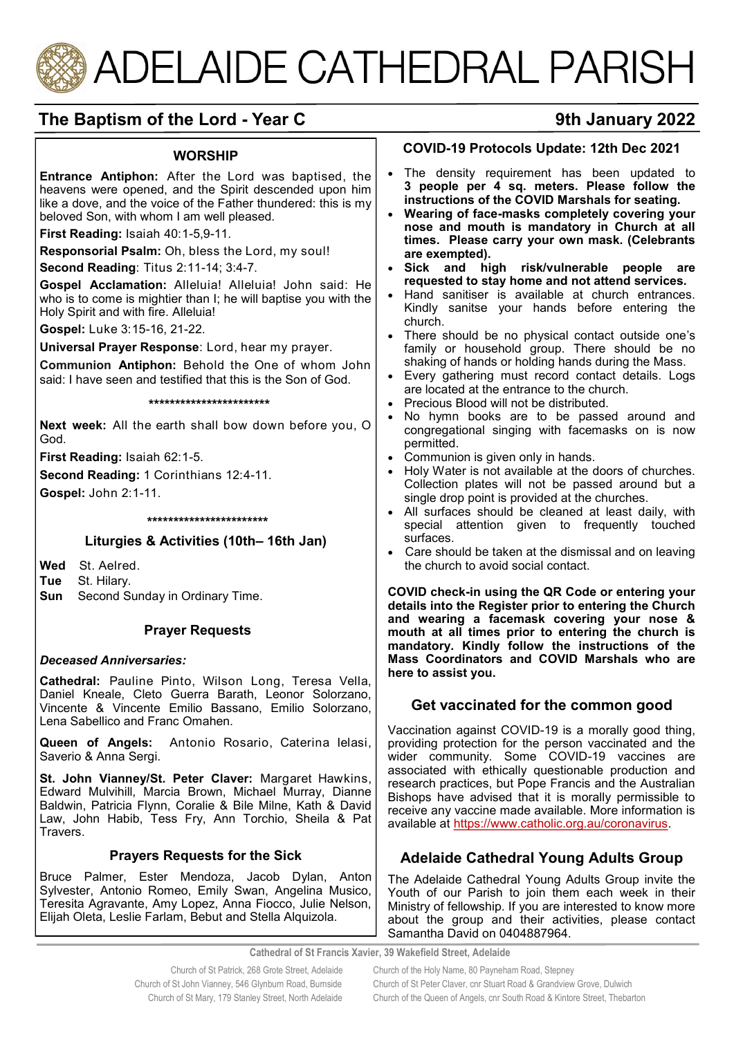

# **The Baptism of the Lord - Year C 9th January 2022**

#### **WORSHIP**

**Entrance Antiphon:** After the Lord was baptised, the heavens were opened, and the Spirit descended upon him like a dove, and the voice of the Father thundered: this is my beloved Son, with whom I am well pleased.

**First Reading:** Isaiah 40:1-5,9-11.

**Responsorial Psalm:** Oh, bless the Lord, my soul!

**Second Reading**: Titus 2:11-14; 3:4-7.

**Gospel Acclamation:** Alleluia! Alleluia! John said: He who is to come is mightier than I; he will baptise you with the Holy Spirit and with fire. Alleluia!

**Gospel:** Luke 3:15-16, 21-22.

**Universal Prayer Response**: Lord, hear my prayer.

**Communion Antiphon:** Behold the One of whom John said: I have seen and testified that this is the Son of God.

**\*\*\*\*\*\*\*\*\*\*\*\*\*\*\*\*\*\*\*\*\*\*\***

**Next week:** All the earth shall bow down before you, O God.

**First Reading:** Isaiah 62:1-5.

**Second Reading:** 1 Corinthians 12:4-11.

**Gospel:** John 2:1-11.

**\*\*\*\*\*\*\*\*\*\*\*\*\*\*\*\*\*\*\*\*\*\*\***

## **Liturgies & Activities (10th– 16th Jan)**

**Wed** St. Aelred.

- **Tue** St. Hilary.
- **Sun** Second Sunday in Ordinary Time.

## **Prayer Requests**

#### *Deceased Anniversaries:*

**Cathedral:** Pauline Pinto, Wilson Long, Teresa Vella, Daniel Kneale, Cleto Guerra Barath, Leonor Solorzano, Vincente & Vincente Emilio Bassano, Emilio Solorzano, Lena Sabellico and Franc Omahen.

**Queen of Angels:** Antonio Rosario, Caterina Ielasi, Saverio & Anna Sergi.

**St. John Vianney/St. Peter Claver:** Margaret Hawkins, Edward Mulvihill, Marcia Brown, Michael Murray, Dianne Baldwin, Patricia Flynn, Coralie & Bile Milne, Kath & David Law, John Habib, Tess Fry, Ann Torchio, Sheila & Pat Travers.

## **Prayers Requests for the Sick**

Bruce Palmer, Ester Mendoza, Jacob Dylan, Anton Sylvester, Antonio Romeo, Emily Swan, Angelina Musico, Teresita Agravante, Amy Lopez, Anna Fiocco, Julie Nelson, Elijah Oleta, Leslie Farlam, Bebut and Stella Alquizola.

- The density requirement has been updated to **3 people per 4 sq. meters. Please follow the instructions of the COVID Marshals for seating.**
- **Wearing of face-masks completely covering your nose and mouth is mandatory in Church at all times. Please carry your own mask. (Celebrants are exempted).**
- **Sick and high risk/vulnerable people are requested to stay home and not attend services.**
- Hand sanitiser is available at church entrances. Kindly sanitse your hands before entering the church.
- There should be no physical contact outside one's family or household group. There should be no shaking of hands or holding hands during the Mass.
- Every gathering must record contact details. Logs are located at the entrance to the church.
- Precious Blood will not be distributed.
- No hymn books are to be passed around and congregational singing with facemasks on is now permitted.
- Communion is given only in hands.
- Holy Water is not available at the doors of churches. Collection plates will not be passed around but a single drop point is provided at the churches.
- All surfaces should be cleaned at least daily, with special attention given to frequently touched surfaces.
- Care should be taken at the dismissal and on leaving the church to avoid social contact.

**COVID check-in using the QR Code or entering your details into the Register prior to entering the Church and wearing a facemask covering your nose & mouth at all times prior to entering the church is mandatory. Kindly follow the instructions of the Mass Coordinators and COVID Marshals who are here to assist you.** 

# **Get vaccinated for the common good**

Vaccination against COVID-19 is a morally good thing, providing protection for the person vaccinated and the wider community. Some COVID-19 vaccines are associated with ethically questionable production and research practices, but Pope Francis and the Australian Bishops have advised that it is morally permissible to receive any vaccine made available. More information is available at [https://www.catholic.org.au/coronavirus.](https://www.catholic.org.au/coronavirus)

# **Adelaide Cathedral Young Adults Group**

The Adelaide Cathedral Young Adults Group invite the Youth of our Parish to join them each week in their Ministry of fellowship. If you are interested to know more about the group and their activities, please contact Samantha David on 0404887964.

**Cathedral of St Francis Xavier, 39 Wakefield Street, Adelaide**